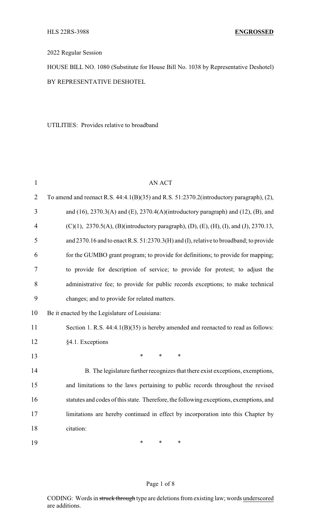2022 Regular Session

HOUSE BILL NO. 1080 (Substitute for House Bill No. 1038 by Representative Deshotel) BY REPRESENTATIVE DESHOTEL

UTILITIES: Provides relative to broadband

| $\mathbf{1}$   | <b>AN ACT</b>                                                                                 |  |  |  |
|----------------|-----------------------------------------------------------------------------------------------|--|--|--|
| $\overline{2}$ | To amend and reenact R.S. 44:4.1(B)(35) and R.S. 51:2370.2(introductory paragraph), (2),      |  |  |  |
| 3              | and $(16)$ , 2370.3(A) and $(E)$ , 2370.4(A)(introductory paragraph) and $(12)$ , $(B)$ , and |  |  |  |
| $\overline{4}$ | (C)(1), 2370.5(A), (B)(introductory paragraph), (D), (E), (H), (I), and (J), 2370.13,         |  |  |  |
| 5              | and 2370.16 and to enact R.S. 51:2370.3(H) and (I), relative to broadband; to provide         |  |  |  |
| 6              | for the GUMBO grant program; to provide for definitions; to provide for mapping;              |  |  |  |
| 7              | to provide for description of service; to provide for protest; to adjust the                  |  |  |  |
| 8              | administrative fee; to provide for public records exceptions; to make technical               |  |  |  |
| 9              | changes; and to provide for related matters.                                                  |  |  |  |
| 10             | Be it enacted by the Legislature of Louisiana:                                                |  |  |  |
| 11             | Section 1. R.S. 44:4.1(B)(35) is hereby amended and reenacted to read as follows:             |  |  |  |
| 12             | §4.1. Exceptions                                                                              |  |  |  |
| 13             | $\ast$<br>$\ast$<br>$\ast$                                                                    |  |  |  |
| 14             | B. The legislature further recognizes that there exist exceptions, exemptions,                |  |  |  |
| 15             | and limitations to the laws pertaining to public records throughout the revised               |  |  |  |
| 16             | statutes and codes of this state. Therefore, the following exceptions, exemptions, and        |  |  |  |
| 17             | limitations are hereby continued in effect by incorporation into this Chapter by              |  |  |  |
| 18             | citation:                                                                                     |  |  |  |
| 19             | $\ast$<br>*<br>∗                                                                              |  |  |  |

## Page 1 of 8

CODING: Words in struck through type are deletions from existing law; words underscored are additions.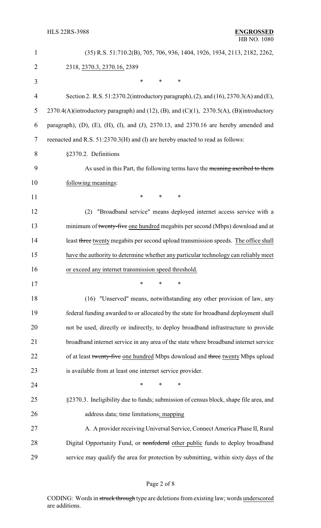| $\mathbf{1}$   | (35) R.S. 51:710.2(B), 705, 706, 936, 1404, 1926, 1934, 2113, 2182, 2262,                           |  |  |
|----------------|-----------------------------------------------------------------------------------------------------|--|--|
| $\overline{2}$ | 2318, 2370.3, 2370.16, 2389                                                                         |  |  |
| 3              | $\ast$<br>*<br>$\ast$                                                                               |  |  |
| $\overline{4}$ | Section 2. R.S. 51:2370.2(introductory paragraph), (2), and (16), 2370.3(A) and (E),                |  |  |
| 5              | 2370.4(A)(introductory paragraph) and (12), (B), and (C)(1), 2370.5(A), (B)(introductory            |  |  |
| 6              | paragraph), $(D)$ , $(E)$ , $(H)$ , $(I)$ , and $(J)$ , 2370.13, and 2370.16 are hereby amended and |  |  |
| 7              | reenacted and R.S. 51:2370.3(H) and (I) are hereby enacted to read as follows:                      |  |  |
| 8              | §2370.2. Definitions                                                                                |  |  |
| 9              | As used in this Part, the following terms have the meaning ascribed to them                         |  |  |
| 10             | following meanings:                                                                                 |  |  |
| 11             | *<br>*<br>∗                                                                                         |  |  |
| 12             | "Broadband service" means deployed internet access service with a<br>(2)                            |  |  |
| 13             | minimum of twenty-five one hundred megabits per second (Mbps) download and at                       |  |  |
| 14             | least three twenty megabits per second upload transmission speeds. The office shall                 |  |  |
| 15             | have the authority to determine whether any particular technology can reliably meet                 |  |  |
| 16             | or exceed any internet transmission speed threshold.                                                |  |  |
| 17             |                                                                                                     |  |  |
| 18             | (16) "Unserved" means, notwithstanding any other provision of law, any                              |  |  |
| 19             | federal funding awarded to or allocated by the state for broadband deployment shall                 |  |  |
| 20             | not be used, directly or indirectly, to deploy broadband infrastructure to provide                  |  |  |
| 21             | broadband internet service in any area of the state where broadband internet service                |  |  |
| 22             | of at least twenty-five one hundred Mbps download and three twenty Mbps upload                      |  |  |
| 23             | is available from at least one internet service provider.                                           |  |  |
| 24             | $\ast$<br>∗<br>*                                                                                    |  |  |
| 25             | §2370.3. Ineligibility due to funds; submission of census block, shape file area, and               |  |  |
| 26             | address data; time limitations; mapping                                                             |  |  |
| 27             | A. A provider receiving Universal Service, Connect America Phase II, Rural                          |  |  |
| 28             | Digital Opportunity Fund, or nonfederal other public funds to deploy broadband                      |  |  |
| 29             | service may qualify the area for protection by submitting, within sixty days of the                 |  |  |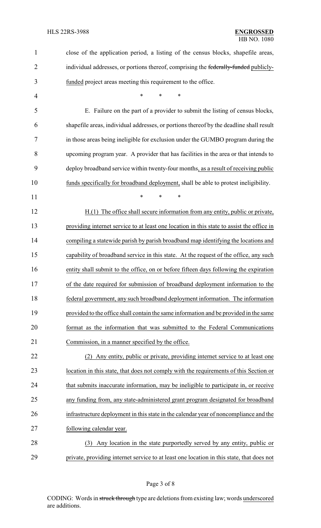| $\mathbf{1}$   | close of the application period, a listing of the census blocks, shapefile areas,         |
|----------------|-------------------------------------------------------------------------------------------|
| $\overline{2}$ | individual addresses, or portions thereof, comprising the federally-funded publicly-      |
| 3              | funded project areas meeting this requirement to the office.                              |
| 4              | $\ast$<br>*<br>$\ast$                                                                     |
| 5              | E. Failure on the part of a provider to submit the listing of census blocks,              |
| 6              | shapefile areas, individual addresses, or portions thereof by the deadline shall result   |
| 7              | in those areas being ineligible for exclusion under the GUMBO program during the          |
| 8              | upcoming program year. A provider that has facilities in the area or that intends to      |
| 9              | deploy broadband service within twenty-four months, as a result of receiving public       |
| 10             | funds specifically for broadband deployment, shall be able to protest ineligibility.      |
| 11             | $\ast$<br>$\ast$<br>$\ast$                                                                |
| 12             | H.(1) The office shall secure information from any entity, public or private,             |
| 13             | providing internet service to at least one location in this state to assist the office in |
| 14             | compiling a statewide parish by parish broadband map identifying the locations and        |
| 15             | capability of broadband service in this state. At the request of the office, any such     |
| 16             | entity shall submit to the office, on or before fifteen days following the expiration     |
| 17             | of the date required for submission of broadband deployment information to the            |
| 18             | federal government, any such broadband deployment information. The information            |
| 19             | provided to the office shall contain the same information and be provided in the same     |
| 20             | format as the information that was submitted to the Federal Communications                |
| 21             | Commission, in a manner specified by the office.                                          |
| 22             | (2) Any entity, public or private, providing internet service to at least one             |
| 23             | location in this state, that does not comply with the requirements of this Section or     |
| 24             | that submits inaccurate information, may be ineligible to participate in, or receive      |
| 25             | any funding from, any state-administered grant program designated for broadband           |
| 26             | infrastructure deployment in this state in the calendar year of noncompliance and the     |
| 27             | following calendar year.                                                                  |
| 28             | (3) Any location in the state purportedly served by any entity, public or                 |
| 29             | private, providing internet service to at least one location in this state, that does not |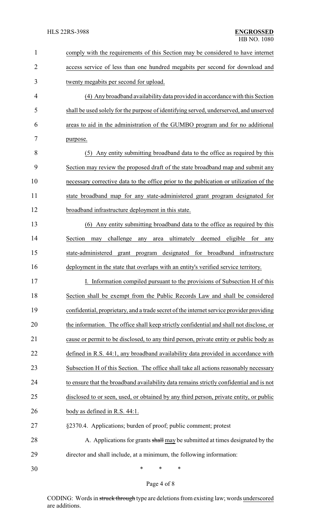| $\mathbf{1}$   | comply with the requirements of this Section may be considered to have internet              |  |
|----------------|----------------------------------------------------------------------------------------------|--|
| $\overline{2}$ | access service of less than one hundred megabits per second for download and                 |  |
| 3              | twenty megabits per second for upload.                                                       |  |
| 4              | (4) Any broadband availability data provided in accordance with this Section                 |  |
| 5              | shall be used solely for the purpose of identifying served, underserved, and unserved        |  |
| 6              | areas to aid in the administration of the GUMBO program and for no additional                |  |
| 7              | purpose.                                                                                     |  |
| 8              | (5) Any entity submitting broadband data to the office as required by this                   |  |
| 9              | Section may review the proposed draft of the state broadband map and submit any              |  |
| 10             | necessary corrective data to the office prior to the publication or utilization of the       |  |
| 11             | state broadband map for any state-administered grant program designated for                  |  |
| 12             | broadband infrastructure deployment in this state.                                           |  |
| 13             | (6) Any entity submitting broadband data to the office as required by this                   |  |
| 14             | challenge<br>ultimately<br>deemed<br>eligible<br>Section<br>for<br>may<br>any<br>area<br>any |  |
| 15             | state-administered<br>program designated for broadband infrastructure<br>grant               |  |
| 16             | deployment in the state that overlaps with an entity's verified service territory.           |  |
| 17             | I. Information compiled pursuant to the provisions of Subsection H of this                   |  |
| 18             | Section shall be exempt from the Public Records Law and shall be considered                  |  |
| 19             | confidential, proprietary, and a trade secret of the internet service provider providing     |  |
| 20             | the information. The office shall keep strictly confidential and shall not disclose, or      |  |
| 21             | cause or permit to be disclosed, to any third person, private entity or public body as       |  |
| 22             | defined in R.S. 44:1, any broadband availability data provided in accordance with            |  |
| 23             | Subsection H of this Section. The office shall take all actions reasonably necessary         |  |
| 24             | to ensure that the broadband availability data remains strictly confidential and is not      |  |
| 25             | disclosed to or seen, used, or obtained by any third person, private entity, or public       |  |
| 26             | body as defined in R.S. 44:1.                                                                |  |
| 27             | §2370.4. Applications; burden of proof; public comment; protest                              |  |
| 28             | A. Applications for grants shall may be submitted at times designated by the                 |  |
| 29             | director and shall include, at a minimum, the following information:                         |  |
| 30             | ∗<br>∗<br>∗                                                                                  |  |

Page 4 of 8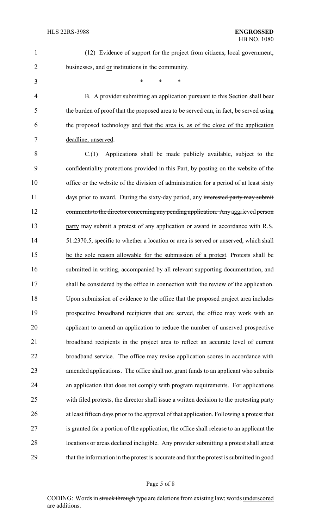- (12) Evidence of support for the project from citizens, local government, 2 businesses, and or institutions in the community.
	-

\* \* \*

 B. A provider submitting an application pursuant to this Section shall bear the burden of proof that the proposed area to be served can, in fact, be served using the proposed technology and that the area is, as of the close of the application deadline, unserved.

 C.(1) Applications shall be made publicly available, subject to the confidentiality protections provided in this Part, by posting on the website of the office or the website of the division of administration for a period of at least sixty 11 days prior to award. During the sixty-day period, any interested party may submit 12 comments to the director concerning any pending application. Any aggrieved person 13 party may submit a protest of any application or award in accordance with R.S. 51:2370.5, specific to whether a location or area is served or unserved, which shall be the sole reason allowable for the submission of a protest. Protests shall be submitted in writing, accompanied by all relevant supporting documentation, and 17 shall be considered by the office in connection with the review of the application. Upon submission of evidence to the office that the proposed project area includes prospective broadband recipients that are served, the office may work with an applicant to amend an application to reduce the number of unserved prospective broadband recipients in the project area to reflect an accurate level of current broadband service. The office may revise application scores in accordance with amended applications. The office shall not grant funds to an applicant who submits an application that does not comply with program requirements. For applications with filed protests, the director shall issue a written decision to the protesting party at least fifteen days prior to the approval of that application. Following a protest that is granted for a portion of the application, the office shall release to an applicant the locations or areas declared ineligible. Any provider submitting a protest shall attest that the information in the protest is accurate and that the protest is submitted in good

CODING: Words in struck through type are deletions from existing law; words underscored are additions.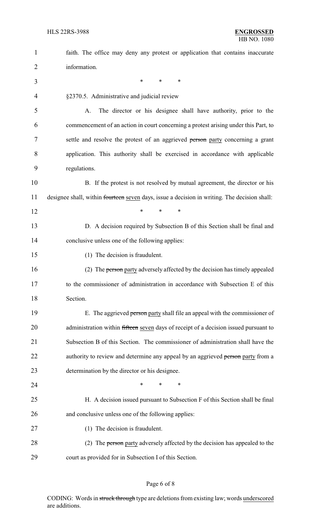| $\mathbf{1}$   | faith. The office may deny any protest or application that contains inaccurate               |  |  |
|----------------|----------------------------------------------------------------------------------------------|--|--|
| 2              | information.                                                                                 |  |  |
| 3              | *<br>*<br>∗                                                                                  |  |  |
| $\overline{4}$ | §2370.5. Administrative and judicial review                                                  |  |  |
| 5              | The director or his designee shall have authority, prior to the<br>A.                        |  |  |
| 6              | commencement of an action in court concerning a protest arising under this Part, to          |  |  |
| 7              | settle and resolve the protest of an aggrieved person party concerning a grant               |  |  |
| 8              | application. This authority shall be exercised in accordance with applicable                 |  |  |
| 9              | regulations.                                                                                 |  |  |
| 10             | B. If the protest is not resolved by mutual agreement, the director or his                   |  |  |
| 11             | designee shall, within fourteen seven days, issue a decision in writing. The decision shall: |  |  |
| 12             | *<br>*<br>$\ast$                                                                             |  |  |
| 13             | D. A decision required by Subsection B of this Section shall be final and                    |  |  |
| 14             | conclusive unless one of the following applies:                                              |  |  |
| 15             | (1) The decision is fraudulent.                                                              |  |  |
| 16             | (2) The person party adversely affected by the decision has timely appealed                  |  |  |
| 17             | to the commissioner of administration in accordance with Subsection E of this                |  |  |
| 18             | Section.                                                                                     |  |  |
| 19             | E. The aggrieved person party shall file an appeal with the commissioner of                  |  |  |
| 20             | administration within fifteen seven days of receipt of a decision issued pursuant to         |  |  |
| 21             | Subsection B of this Section. The commissioner of administration shall have the              |  |  |
| 22             | authority to review and determine any appeal by an aggrieved person party from a             |  |  |
| 23             | determination by the director or his designee.                                               |  |  |
| 24             | ∗<br>*<br>∗                                                                                  |  |  |
| 25             | H. A decision issued pursuant to Subsection F of this Section shall be final                 |  |  |
| 26             | and conclusive unless one of the following applies:                                          |  |  |
| 27             | (1) The decision is fraudulent.                                                              |  |  |
| 28             | (2) The person party adversely affected by the decision has appealed to the                  |  |  |
| 29             | court as provided for in Subsection I of this Section.                                       |  |  |

## Page 6 of 8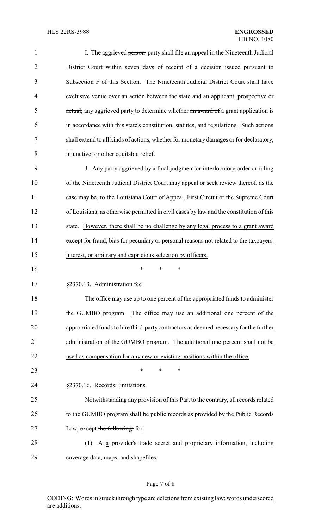| 1              | I. The aggrieved person party shall file an appeal in the Nineteenth Judicial                 |
|----------------|-----------------------------------------------------------------------------------------------|
| $\overline{2}$ | District Court within seven days of receipt of a decision issued pursuant to                  |
| 3              | Subsection F of this Section. The Nineteenth Judicial District Court shall have               |
| $\overline{4}$ | exclusive venue over an action between the state and an applicant, prospective or             |
| 5              | actual, any aggrieved party to determine whether an award of a grant application is           |
| 6              | in accordance with this state's constitution, statutes, and regulations. Such actions         |
| 7              | shall extend to all kinds of actions, whether for monetary damages or for declaratory,        |
| 8              | injunctive, or other equitable relief.                                                        |
| 9              | J. Any party aggrieved by a final judgment or interlocutory order or ruling                   |
| 10             | of the Nineteenth Judicial District Court may appeal or seek review thereof, as the           |
| 11             | case may be, to the Louisiana Court of Appeal, First Circuit or the Supreme Court             |
| 12             | of Louisiana, as otherwise permitted in civil cases by law and the constitution of this       |
| 13             | state. However, there shall be no challenge by any legal process to a grant award             |
| 14             | except for fraud, bias for pecuniary or personal reasons not related to the taxpayers'        |
| 15             | interest, or arbitrary and capricious selection by officers.                                  |
| 16             | ∗<br>*<br>∗                                                                                   |
| 17             | §2370.13. Administration fee                                                                  |
| 18             | The office may use up to one percent of the appropriated funds to administer                  |
| 19             | the GUMBO program. The office may use an additional one percent of the                        |
| 20             | appropriated funds to hire third-party contractors as deemed necessary for the further        |
| 21             | administration of the GUMBO program. The additional one percent shall not be                  |
| 22             | used as compensation for any new or existing positions within the office.                     |
| 23             | *<br>*<br>*                                                                                   |
| 24             | §2370.16. Records; limitations                                                                |
| 25             | Notwithstanding any provision of this Part to the contrary, all records related               |
| 26             | to the GUMBO program shall be public records as provided by the Public Records                |
| 27             | Law, except the following: for                                                                |
| 28             | $\left(\frac{1}{1}\right)$ A a provider's trade secret and proprietary information, including |
| 29             | coverage data, maps, and shapefiles.                                                          |